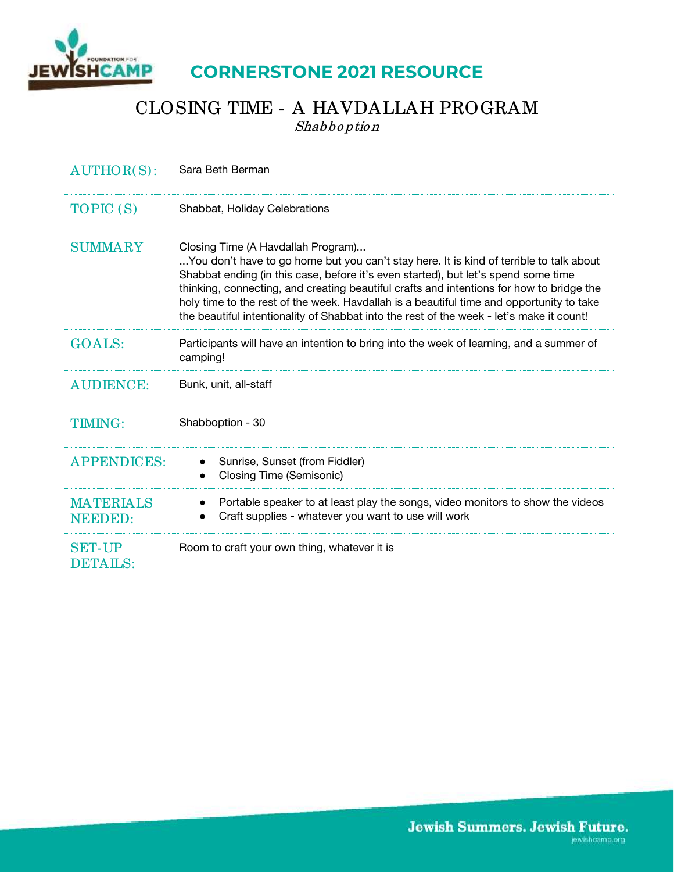

## **CORNERSTONE 2021 RESOURCE**

## CLOSING TIME - A HAVDALLAH PROGRAM

Shabbo ptio <sup>n</sup>

| $AUTHOR(S)$ :                      | Sara Beth Berman                                                                                                                                                                                                                                                                                                                                                                                                                                                                                        |
|------------------------------------|---------------------------------------------------------------------------------------------------------------------------------------------------------------------------------------------------------------------------------------------------------------------------------------------------------------------------------------------------------------------------------------------------------------------------------------------------------------------------------------------------------|
| TOPIC (S)                          | Shabbat, Holiday Celebrations                                                                                                                                                                                                                                                                                                                                                                                                                                                                           |
| <b>SUMMARY</b>                     | Closing Time (A Havdallah Program)<br>You don't have to go home but you can't stay here. It is kind of terrible to talk about<br>Shabbat ending (in this case, before it's even started), but let's spend some time<br>thinking, connecting, and creating beautiful crafts and intentions for how to bridge the<br>holy time to the rest of the week. Havdallah is a beautiful time and opportunity to take<br>the beautiful intentionality of Shabbat into the rest of the week - let's make it count! |
| <b>GOALS:</b>                      | Participants will have an intention to bring into the week of learning, and a summer of<br>camping!                                                                                                                                                                                                                                                                                                                                                                                                     |
| <b>AUDIENCE:</b>                   | Bunk, unit, all-staff                                                                                                                                                                                                                                                                                                                                                                                                                                                                                   |
| <b>TIMING:</b>                     | Shabboption - 30                                                                                                                                                                                                                                                                                                                                                                                                                                                                                        |
| <b>APPENDICES:</b>                 | Sunrise, Sunset (from Fiddler)<br><b>Closing Time (Semisonic)</b>                                                                                                                                                                                                                                                                                                                                                                                                                                       |
| <b>MATERIALS</b><br><b>NEEDED:</b> | Portable speaker to at least play the songs, video monitors to show the videos<br>Craft supplies - whatever you want to use will work                                                                                                                                                                                                                                                                                                                                                                   |
| <b>SET-UP</b><br><b>DETAILS:</b>   | Room to craft your own thing, whatever it is                                                                                                                                                                                                                                                                                                                                                                                                                                                            |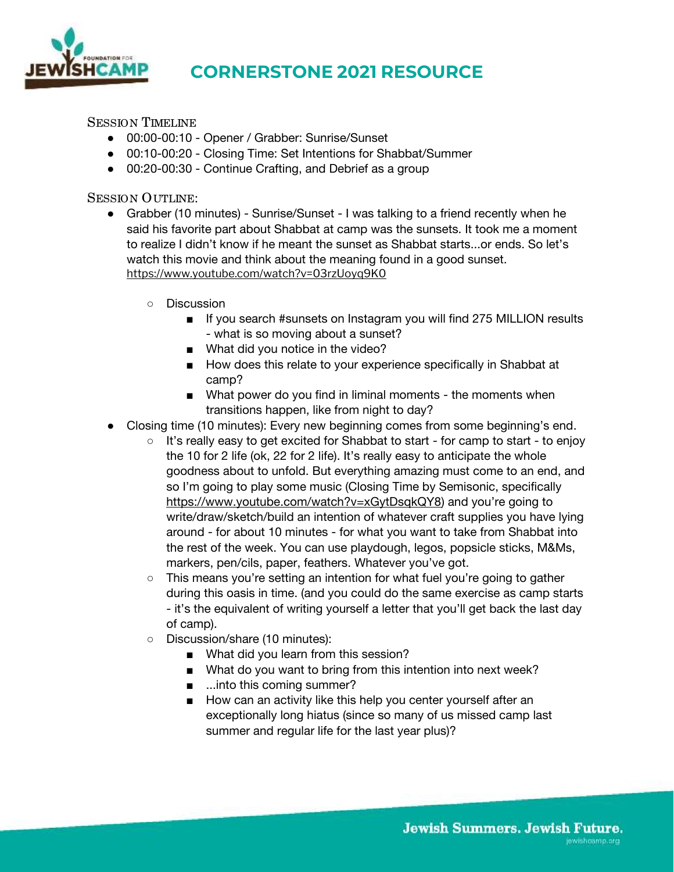

## **CORNERSTONE 2021 RESOURCE**

SESSION TIMELINE

- 00:00-00:10 Opener / Grabber: Sunrise/Sunset
- 00:10-00:20 Closing Time: Set Intentions for Shabbat/Summer
- 00:20-00:30 Continue Crafting, and Debrief as a group

SESSION OUTLINE:

- Grabber (10 minutes) Sunrise/Sunset I was talking to a friend recently when he said his favorite part about Shabbat at camp was the sunsets. It took me a moment to realize I didn't know if he meant the sunset as Shabbat starts...or ends. So let's watch this movie and think about the meaning found in a good sunset. <https://www.youtube.com/watch?v=03rzUoyq9K0>
	- Discussion
		- If you search #sunsets on Instagram you will find 275 MILLION results - what is so moving about a sunset?
		- What did you notice in the video?
		- How does this relate to your experience specifically in Shabbat at camp?
		- What power do you find in liminal moments the moments when transitions happen, like from night to day?
- Closing time (10 minutes): Every new beginning comes from some beginning's end.
	- It's really easy to get excited for Shabbat to start for camp to start to enjoy the 10 for 2 life (ok, 22 for 2 life). It's really easy to anticipate the whole goodness about to unfold. But everything amazing must come to an end, and so I'm going to play some music (Closing Time by Semisonic, specifically <https://www.youtube.com/watch?v=xGytDsqkQY8>) and you're going to write/draw/sketch/build an intention of whatever craft supplies you have lying around - for about 10 minutes - for what you want to take from Shabbat into the rest of the week. You can use playdough, legos, popsicle sticks, M&Ms, markers, pen/cils, paper, feathers. Whatever you've got.
	- This means you're setting an intention for what fuel you're going to gather during this oasis in time. (and you could do the same exercise as camp starts - it's the equivalent of writing yourself a letter that you'll get back the last day of camp).
	- Discussion/share (10 minutes):
		- What did you learn from this session?
		- What do you want to bring from this intention into next week?
		- ...into this coming summer?
		- How can an activity like this help you center yourself after an exceptionally long hiatus (since so many of us missed camp last summer and regular life for the last year plus)?